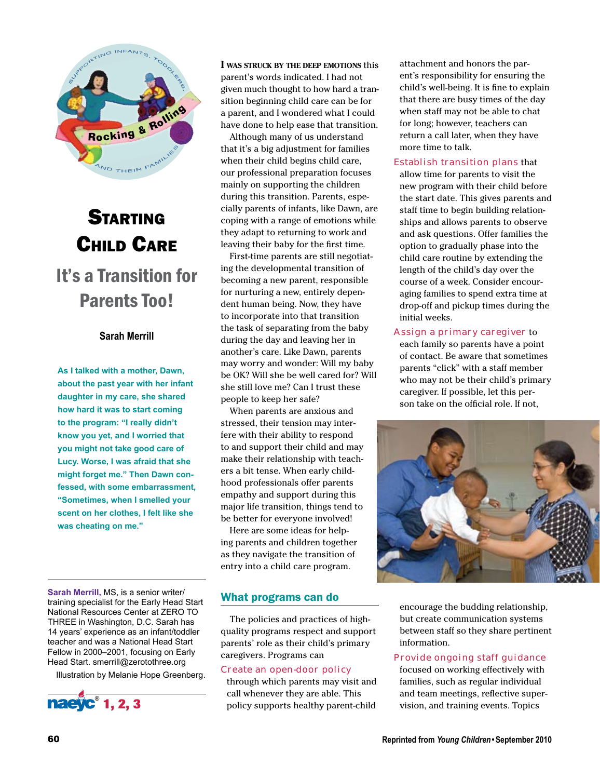

# STARTING Child Care It's a Transition for Parents Too!

## **Sarah Merrill**

**As I talked with a mother, Dawn, about the past year with her infant daughter in my care, she shared how hard it was to start coming to the program: "I really didn't know you yet, and I worried that you might not take good care of Lucy. Worse, I was afraid that she might forget me." Then Dawn confessed, with some embarrassment, "Sometimes, when I smelled your scent on her clothes, I felt like she was cheating on me."**

**Sarah Merrill,** MS, is a senior writer/ training specialist for the Early Head Start National Resources Center at ZERO TO THREE in Washington, D.C. Sarah has 14 years' experience as an infant/toddler teacher and was a National Head Start Fellow in 2000–2001, focusing on Early Head Start. smerrill@zerotothree.org

Illustration by Melanie Hope Greenberg.



**I was struck by the deep emotions** this parent's words indicated. I had not given much thought to how hard a transition beginning child care can be for a parent, and I wondered what I could have done to help ease that transition.

mainly on supporting the children Although many of us understand that it's a big adjustment for families when their child begins child care, our professional preparation focuses during this transition. Parents, especially parents of infants, like Dawn, are coping with a range of emotions while they adapt to returning to work and leaving their baby for the first time.

First-time parents are still negotiating the developmental transition of becoming a new parent, responsible for nurturing a new, entirely dependent human being. Now, they have to incorporate into that transition the task of separating from the baby during the day and leaving her in another's care. Like Dawn, parents may worry and wonder: Will my baby be OK? Will she be well cared for? Will she still love me? Can I trust these people to keep her safe?

When parents are anxious and stressed, their tension may interfere with their ability to respond to and support their child and may make their relationship with teachers a bit tense. When early childhood professionals offer parents empathy and support during this major life transition, things tend to be better for everyone involved!

Here are some ideas for helping parents and children together as they navigate the transition of entry into a child care program.

## What programs can do

The policies and practices of highquality programs respect and support parents' role as their child's primary caregivers. Programs can

## Create an open-door policy

through which parents may visit and call whenever they are able. This policy supports healthy parent-child

attachment and honors the parent's responsibility for ensuring the child's well-being. It is fine to explain that there are busy times of the day when staff may not be able to chat for long; however, teachers can return a call later, when they have more time to talk.

**Establish transition plans that** allow time for parents to visit the new program with their child before the start date. This gives parents and staff time to begin building relationships and allows parents to observe and ask questions. Offer families the option to gradually phase into the child care routine by extending the length of the child's day over the course of a week. Consider encouraging families to spend extra time at drop-off and pickup times during the initial weeks.

#### Assign a primary caregiver to

each family so parents have a point of contact. Be aware that sometimes parents "click" with a staff member who may not be their child's primary caregiver. If possible, let this person take on the official role. If not,



encourage the budding relationship, but create communication systems between staff so they share pertinent information.

#### Provide ongoing staff guidance

focused on working effectively with families, such as regular individual and team meetings, reflective supervision, and training events. Topics